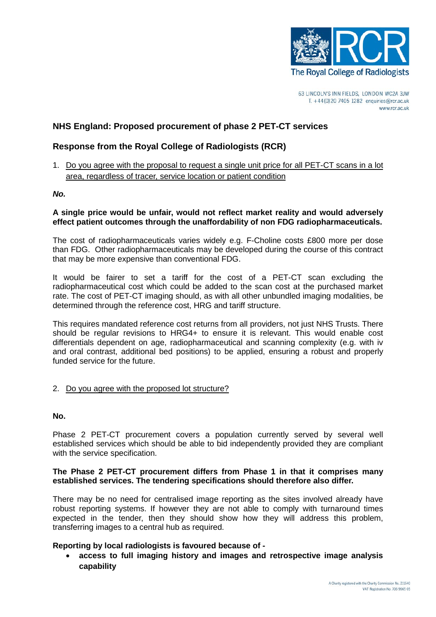

# **NHS England: Proposed procurement of phase 2 PET-CT services**

# **Response from the Royal College of Radiologists (RCR)**

1. Do you agree with the proposal to request a single unit price for all PET-CT scans in a lot area, regardless of tracer, service location or patient condition

#### *No.*

## **A single price would be unfair, would not reflect market reality and would adversely effect patient outcomes through the unaffordability of non FDG radiopharmaceuticals.**

The cost of radiopharmaceuticals varies widely e.g. F-Choline costs £800 more per dose than FDG. Other radiopharmaceuticals may be developed during the course of this contract that may be more expensive than conventional FDG.

It would be fairer to set a tariff for the cost of a PET-CT scan excluding the radiopharmaceutical cost which could be added to the scan cost at the purchased market rate. The cost of PET-CT imaging should, as with all other unbundled imaging modalities, be determined through the reference cost, HRG and tariff structure.

This requires mandated reference cost returns from all providers, not just NHS Trusts. There should be regular revisions to HRG4+ to ensure it is relevant. This would enable cost differentials dependent on age, radiopharmaceutical and scanning complexity (e.g. with iv and oral contrast, additional bed positions) to be applied, ensuring a robust and properly funded service for the future.

## 2. Do you agree with the proposed lot structure?

#### **No.**

Phase 2 PET-CT procurement covers a population currently served by several well established services which should be able to bid independently provided they are compliant with the service specification.

## **The Phase 2 PET-CT procurement differs from Phase 1 in that it comprises many established services. The tendering specifications should therefore also differ.**

There may be no need for centralised image reporting as the sites involved already have robust reporting systems. If however they are not able to comply with turnaround times expected in the tender, then they should show how they will address this problem, transferring images to a central hub as required.

## **Reporting by local radiologists is favoured because of -**

• **access to full imaging history and images and retrospective image analysis capability**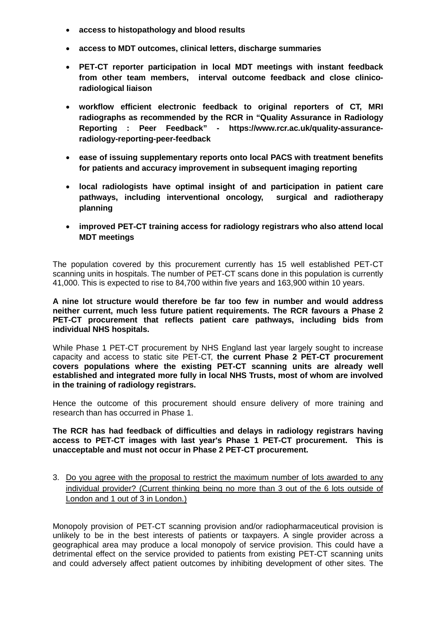- **access to histopathology and blood results**
- **access to MDT outcomes, clinical letters, discharge summaries**
- **PET-CT reporter participation in local MDT meetings with instant feedback from other team members, interval outcome feedback and close clinicoradiological liaison**
- **workflow efficient electronic feedback to original reporters of CT, MRI radiographs as recommended by the RCR in "Quality Assurance in Radiology Reporting : Peer Feedback" - [https://www.rcr.ac.uk/quality-assurance](https://www.rcr.ac.uk/quality-assurance-radiology-reporting-peer-feedback)[radiology-reporting-peer-feedback](https://www.rcr.ac.uk/quality-assurance-radiology-reporting-peer-feedback)**
- **ease of issuing supplementary reports onto local PACS with treatment benefits for patients and accuracy improvement in subsequent imaging reporting**
- **local radiologists have optimal insight of and participation in patient care pathways, including interventional oncology, surgical and radiotherapy planning**
- **improved PET-CT training access for radiology registrars who also attend local MDT meetings**

The population covered by this procurement currently has 15 well established PET-CT scanning units in hospitals. The number of PET-CT scans done in this population is currently 41,000. This is expected to rise to 84,700 within five years and 163,900 within 10 years.

**A nine lot structure would therefore be far too few in number and would address neither current, much less future patient requirements. The RCR favours a Phase 2 PET-CT procurement that reflects patient care pathways, including bids from individual NHS hospitals.**

While Phase 1 PET-CT procurement by NHS England last year largely sought to increase capacity and access to static site PET-CT, the current Phase 2 PET-CT procurement **covers populations where the existing PET-CT scanning units are already well established and integrated more fully in local NHS Trusts, most of whom are involved in the training of radiology registrars.**

Hence the outcome of this procurement should ensure delivery of more training and research than has occurred in Phase 1.

#### **The RCR has had feedback of difficulties and delays in radiology registrars having access to PET-CT images with last year's Phase 1 PET-CT procurement. This is unacceptable and must not occur in Phase 2 PET-CT procurement.**

3. Do you agree with the proposal to restrict the maximum number of lots awarded to any individual provider? (Current thinking being no more than 3 out of the 6 lots outside of London and 1 out of 3 in London.)

Monopoly provision of PET-CT scanning provision and/or radiopharmaceutical provision is unlikely to be in the best interests of patients or taxpayers. A single provider across a geographical area may produce a local monopoly of service provision. This could have a detrimental effect on the service provided to patients from existing PET-CT scanning units and could adversely affect patient outcomes by inhibiting development of other sites. The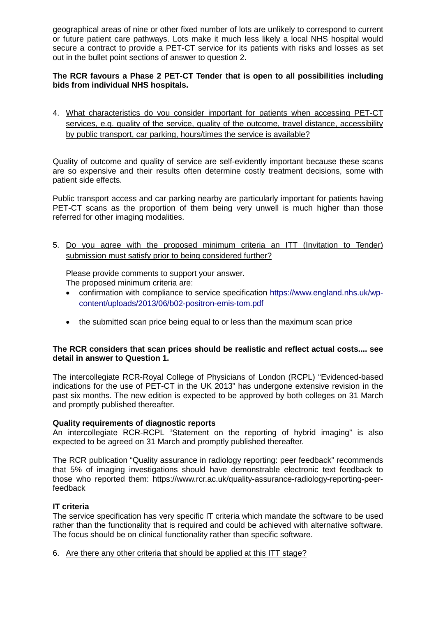geographical areas of nine or other fixed number of lots are unlikely to correspond to current or future patient care pathways. Lots make it much less likely a local NHS hospital would secure a contract to provide a PET-CT service for its patients with risks and losses as set out in the bullet point sections of answer to question 2.

## **The RCR favours a Phase 2 PET-CT Tender that is open to all possibilities including bids from individual NHS hospitals.**

4. What characteristics do you consider important for patients when accessing PET-CT services, e.g. quality of the service, quality of the outcome, travel distance, accessibility by public transport, car parking, hours/times the service is available?

Quality of outcome and quality of service are self-evidently important because these scans are so expensive and their results often determine costly treatment decisions, some with patient side effects.

Public transport access and car parking nearby are particularly important for patients having PET-CT scans as the proportion of them being very unwell is much higher than those referred for other imaging modalities.

5. Do you agree with the proposed minimum criteria an ITT (Invitation to Tender) submission must satisfy prior to being considered further?

Please provide comments to support your answer. The proposed minimum criteria are:

- confirmation with compliance to service specification [https://www.england.nhs.uk/wp](https://www.england.nhs.uk/wp-content/uploads/2013/06/b02-positron-emis-tom.pdf)[content/uploads/2013/06/b02-positron-emis-tom.pdf](https://www.england.nhs.uk/wp-content/uploads/2013/06/b02-positron-emis-tom.pdf)
- the submitted scan price being equal to or less than the maximum scan price

#### **The RCR considers that scan prices should be realistic and reflect actual costs.... see detail in answer to Question 1.**

The intercollegiate RCR-Royal College of Physicians of London (RCPL) "Evidenced-based indications for the use of PET-CT in the UK 2013" has undergone extensive revision in the past six months. The new edition is expected to be approved by both colleges on 31 March and promptly published thereafter.

## **Quality requirements of diagnostic reports**

An intercollegiate RCR-RCPL "Statement on the reporting of hybrid imaging" is also expected to be agreed on 31 March and promptly published thereafter.

The RCR publication "Quality assurance in radiology reporting: peer feedback" recommends that 5% of imaging investigations should have demonstrable electronic text feedback to those who reported them: [https://www.rcr.ac.uk/quality-assurance-radiology-reporting-peer](https://www.rcr.ac.uk/quality-assurance-radiology-reporting-peer-feedback)[feedback](https://www.rcr.ac.uk/quality-assurance-radiology-reporting-peer-feedback)

## **IT criteria**

The service specification has very specific IT criteria which mandate the software to be used rather than the functionality that is required and could be achieved with alternative software. The focus should be on clinical functionality rather than specific software.

6. Are there any other criteria that should be applied at this ITT stage?